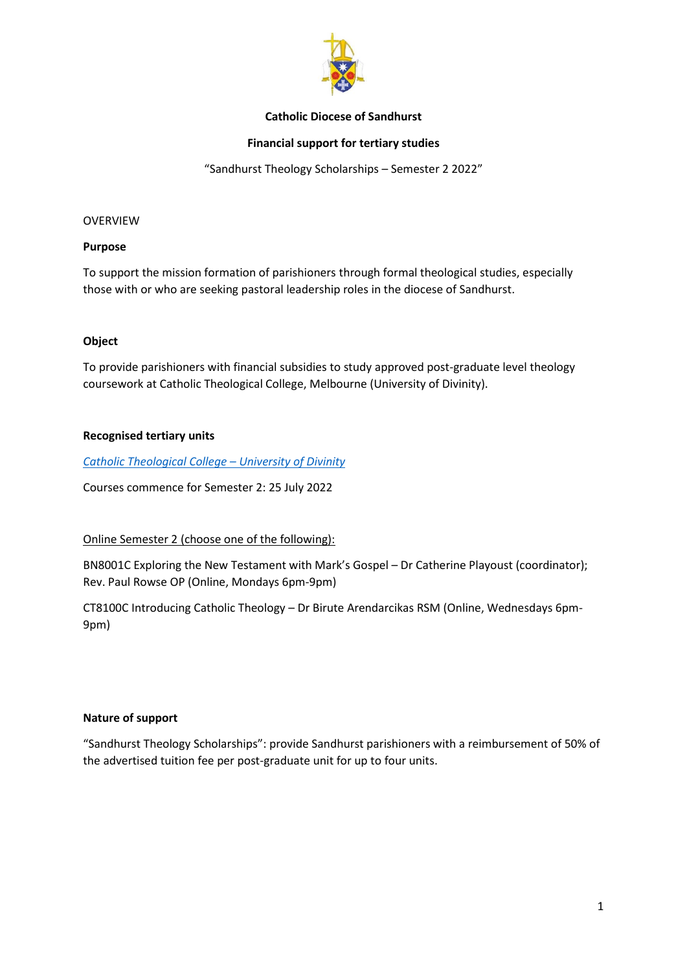

### **Catholic Diocese of Sandhurst**

### **Financial support for tertiary studies**

"Sandhurst Theology Scholarships – Semester 2 2022"

#### OVERVIEW

#### **Purpose**

To support the mission formation of parishioners through formal theological studies, especially those with or who are seeking pastoral leadership roles in the diocese of Sandhurst.

### **Object**

To provide parishioners with financial subsidies to study approved post-graduate level theology coursework at Catholic Theological College, Melbourne (University of Divinity).

### **Recognised tertiary units**

*[Catholic Theological College](https://ctc.edu.au/units-of-study/) – University of Divinity*

Courses commence for Semester 2: 25 July 2022

### Online Semester 2 (choose one of the following):

BN8001C Exploring the New Testament with Mark's Gospel – Dr Catherine Playoust (coordinator); Rev. Paul Rowse OP (Online, Mondays 6pm-9pm)

CT8100C Introducing Catholic Theology – Dr Birute Arendarcikas RSM (Online, Wednesdays 6pm-9pm)

### **Nature of support**

"Sandhurst Theology Scholarships": provide Sandhurst parishioners with a reimbursement of 50% of the advertised tuition fee per post-graduate unit for up to four units.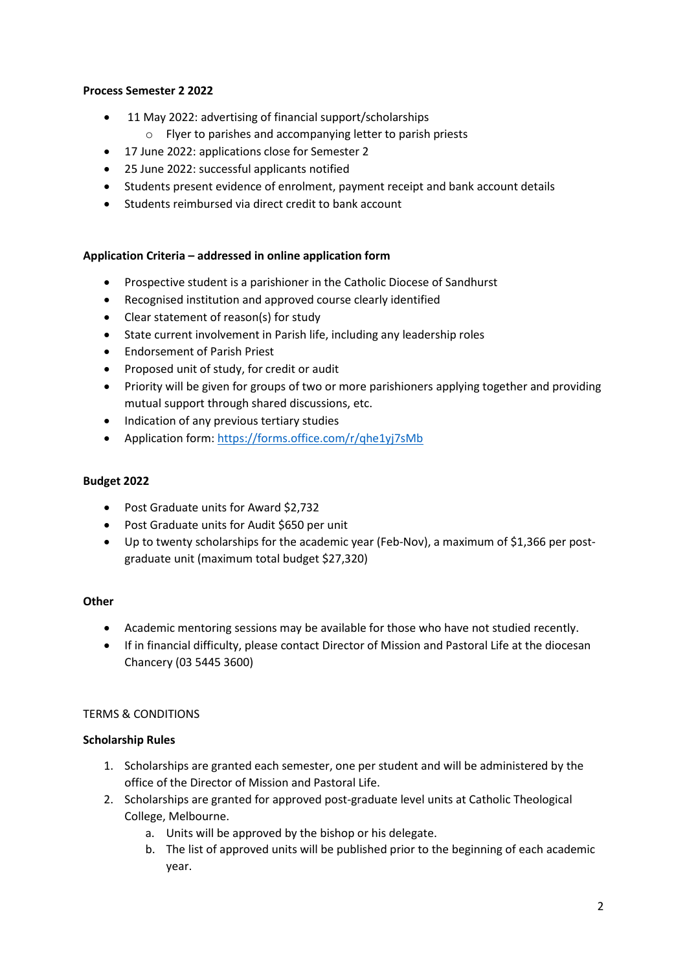# **Process Semester 2 2022**

- 11 May 2022: advertising of financial support/scholarships
	- o Flyer to parishes and accompanying letter to parish priests
- 17 June 2022: applications close for Semester 2
- 25 June 2022: successful applicants notified
- Students present evidence of enrolment, payment receipt and bank account details
- Students reimbursed via direct credit to bank account

## **Application Criteria – addressed in online application form**

- Prospective student is a parishioner in the Catholic Diocese of Sandhurst
- Recognised institution and approved course clearly identified
- Clear statement of reason(s) for study
- State current involvement in Parish life, including any leadership roles
- Endorsement of Parish Priest
- Proposed unit of study, for credit or audit
- Priority will be given for groups of two or more parishioners applying together and providing mutual support through shared discussions, etc.
- Indication of any previous tertiary studies
- Application form:<https://forms.office.com/r/qhe1yj7sMb>

### **Budget 2022**

- Post Graduate units for Award \$2,732
- Post Graduate units for Audit \$650 per unit
- Up to twenty scholarships for the academic year (Feb-Nov), a maximum of \$1,366 per postgraduate unit (maximum total budget \$27,320)

# **Other**

- Academic mentoring sessions may be available for those who have not studied recently.
- If in financial difficulty, please contact Director of Mission and Pastoral Life at the diocesan Chancery (03 5445 3600)

# TERMS & CONDITIONS

# **Scholarship Rules**

- 1. Scholarships are granted each semester, one per student and will be administered by the office of the Director of Mission and Pastoral Life.
- 2. Scholarships are granted for approved post-graduate level units at Catholic Theological College, Melbourne.
	- a. Units will be approved by the bishop or his delegate.
	- b. The list of approved units will be published prior to the beginning of each academic year.